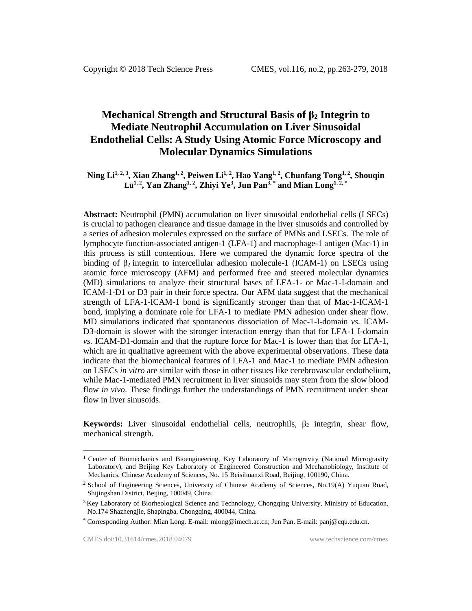# **Mechanical Strength and Structural Basis of β<sup>2</sup> Integrin to Mediate Neutrophil Accumulation on Liver Sinusoidal Endothelial Cells: A Study Using Atomic Force Microscopy and Molecular Dynamics Simulations**

**Ning Li1, 2, 3 , Xiao Zhang1, 2 , Peiwen Li1, 2 , Hao Yang1, 2 , Chunfang Tong1, 2, Shouqin Lü1, 2, Yan Zhang1, 2 , Zhiyi Ye<sup>3</sup> , Jun Pan3, \* and Mian Long1, 2, \***

**Abstract:** Neutrophil (PMN) accumulation on liver sinusoidal endothelial cells (LSECs) is crucial to pathogen clearance and tissue damage in the liver sinusoids and controlled by a series of adhesion molecules expressed on the surface of PMNs and LSECs. The role of lymphocyte function-associated antigen-1 (LFA-1) and macrophage-1 antigen (Mac-1) in this process is still contentious. Here we compared the dynamic force spectra of the binding of  $\beta_2$  integrin to intercellular adhesion molecule-1 (ICAM-1) on LSECs using atomic force microscopy (AFM) and performed free and steered molecular dynamics (MD) simulations to analyze their structural bases of LFA-1- or Mac-1-I-domain and ICAM-1-D1 or D3 pair in their force spectra. Our AFM data suggest that the mechanical strength of LFA-1-ICAM-1 bond is significantly stronger than that of Mac-1-ICAM-1 bond, implying a dominate role for LFA-1 to mediate PMN adhesion under shear flow. MD simulations indicated that spontaneous dissociation of Mac-1-I-domain *vs.* ICAM-D3-domain is slower with the stronger interaction energy than that for LFA-1 I-domain *vs.* ICAM-D1-domain and that the rupture force for Mac-1 is lower than that for LFA-1, which are in qualitative agreement with the above experimental observations. These data indicate that the biomechanical features of LFA-1 and Mac-1 to mediate PMN adhesion on LSECs *in vitro* are similar with those in other tissues like cerebrovascular endothelium, while Mac-1-mediated PMN recruitment in liver sinusoids may stem from the slow blood flow *in vivo*. These findings further the understandings of PMN recruitment under shear flow in liver sinusoids.

**Keywords:** Liver sinusoidal endothelial cells, neutrophils,  $\beta_2$  integrin, shear flow, mechanical strength.

l

<sup>&</sup>lt;sup>1</sup> Center of Biomechanics and Bioengineering, Key Laboratory of Microgravity (National Microgravity Laboratory), and Beijing Key Laboratory of Engineered Construction and Mechanobiology, Institute of Mechanics, Chinese Academy of Sciences, No. 15 Beisihuanxi Road, Beijing, 100190, China.

<sup>2</sup> School of Engineering Sciences, University of Chinese Academy of Sciences, No.19(A) Yuquan Road, Shijingshan District, Beijing, 100049, China.

<sup>&</sup>lt;sup>3</sup> Key Laboratory of Biorheological Science and Technology, Chongqing University, Ministry of Education, No.174 Shazhengjie, Shapingba, Chongqing, 400044, China.

<sup>\*</sup> Corresponding Author: Mian Long. E-mail: [mlong@imech.ac.cn;](mailto:mlong@imech.ac.cn) Jun Pan. E-mail: panj@cqu.edu.cn.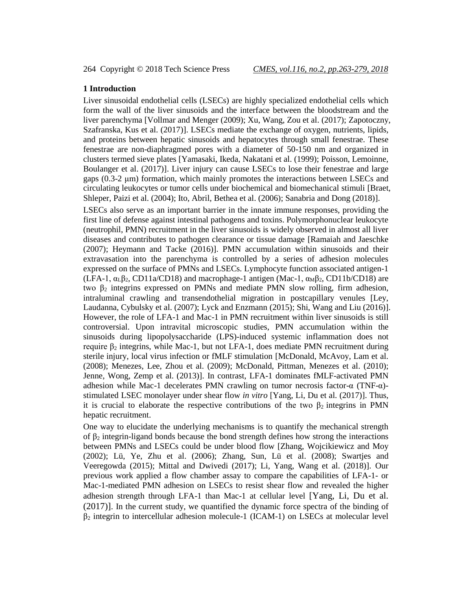#### **1 Introduction**

Liver sinusoidal endothelial cells (LSECs) are highly specialized endothelial cells which form the wall of the liver sinusoids and the interface between the bloodstream and the liver parenchyma [Vollmar and Menger (2009); Xu, Wang, Zou et al. (2017); Zapotoczny, Szafranska, Kus et al. (2017)]. LSECs mediate the exchange of oxygen, nutrients, lipids, and proteins between hepatic sinusoids and hepatocytes through small fenestrae. These fenestrae are non-diaphragmed pores with a diameter of 50-150 nm and organized in clusters termed sieve plates [Yamasaki, Ikeda, Nakatani et al. (1999); Poisson, Lemoinne, Boulanger et al. (2017)]. Liver injury can cause LSECs to lose their fenestrae and large gaps (0.3-2 μm) formation, which mainly promotes the interactions between LSECs and circulating leukocytes or tumor cells under biochemical and biomechanical stimuli [Braet, Shleper, Paizi et al. (2004); Ito, Abril, Bethea et al. (2006); Sanabria and Dong (2018)].

LSECs also serve as an important barrier in the innate immune responses, providing the first line of defense against intestinal pathogens and toxins. Polymorphonuclear leukocyte (neutrophil, PMN) recruitment in the liver sinusoids is widely observed in almost all liver diseases and contributes to pathogen clearance or tissue damage [Ramaiah and Jaeschke (2007); Heymann and Tacke (2016)]. PMN accumulation within sinusoids and their extravasation into the parenchyma is controlled by a series of adhesion molecules expressed on the surface of PMNs and LSECs. Lymphocyte function associated antigen-1 (LFA-1,  $\alpha_L\beta_2$ , CD11a/CD18) and macrophage-1 antigen (Mac-1,  $\alpha_M\beta_2$ , CD11b/CD18) are two  $β<sub>2</sub>$  integrins expressed on PMNs and mediate PMN slow rolling, firm adhesion, intraluminal crawling and transendothelial migration in postcapillary venules [Ley, Laudanna, Cybulsky et al. (2007); Lyck and Enzmann (2015); Shi, Wang and Liu (2016)]. However, the role of LFA-1 and Mac-1 in PMN recruitment within liver sinusoids is still controversial. Upon intravital microscopic studies, PMN accumulation within the sinusoids during lipopolysaccharide (LPS)-induced systemic inflammation does not require  $β_2$  integrins, while Mac-1, but not LFA-1, does mediate PMN recruitment during sterile injury, local virus infection or fMLF stimulation [McDonald, McAvoy, Lam et al. (2008); Menezes, Lee, Zhou et al. (2009); McDonald, Pittman, Menezes et al. (2010); Jenne, Wong, Zemp et al. (2013)]. In contrast, LFA-1 dominates fMLF-activated PMN adhesion while Mac-1 decelerates PMN crawling on tumor necrosis factor- $\alpha$  (TNF- $\alpha$ )stimulated LSEC monolayer under shear flow *in vitro* [Yang, Li, Du et al. (2017)]. Thus, it is crucial to elaborate the respective contributions of the two  $\beta_2$  integrins in PMN hepatic recruitment.

One way to elucidate the underlying mechanisms is to quantify the mechanical strength of  $β_2$  integrin-ligand bonds because the bond strength defines how strong the interactions between PMNs and LSECs could be under blood flow [Zhang, Wojcikiewicz and Moy (2002); Lü, Ye, Zhu et al. (2006); Zhang, Sun, Lü et al. (2008); Swartjes and Veeregowda (2015); Mittal and Dwivedi (2017); Li, Yang, Wang et al. (2018)]. Our previous work applied a flow chamber assay to compare the capabilities of LFA-1- or Mac-1-mediated PMN adhesion on LSECs to resist shear flow and revealed the higher adhesion strength through LFA-1 than Mac-1 at cellular level [Yang, Li, Du et al. (2017)]. In the current study, we quantified the dynamic force spectra of the binding of  $\beta_2$  integrin to intercellular adhesion molecule-1 (ICAM-1) on LSECs at molecular level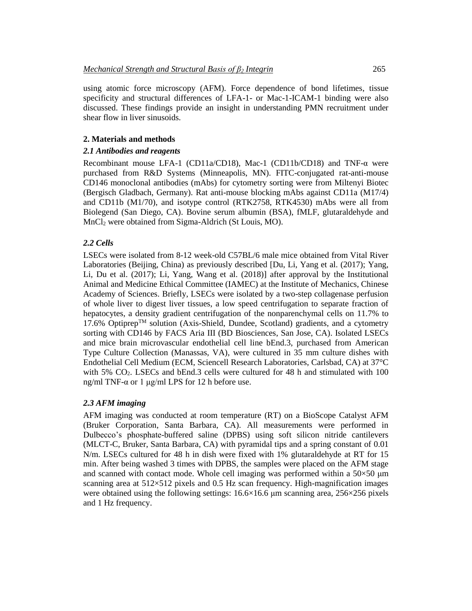using atomic force microscopy (AFM). Force dependence of bond lifetimes, tissue specificity and structural differences of LFA-1- or Mac-1-ICAM-1 binding were also discussed. These findings provide an insight in understanding PMN recruitment under shear flow in liver sinusoids.

#### **2. Materials and methods**

#### *2.1 Antibodies and reagents*

Recombinant mouse LFA-1 (CD11a/CD18), Mac-1 (CD11b/CD18) and TNF-α were purchased from R&D Systems (Minneapolis, MN). FITC-conjugated rat-anti-mouse CD146 monoclonal antibodies (mAbs) for cytometry sorting were from Miltenyi Biotec (Bergisch Gladbach, Germany). Rat anti-mouse blocking mAbs against CD11a (M17/4) and CD11b (M1/70), and isotype control (RTK2758, RTK4530) mAbs were all from Biolegend (San Diego, CA). Bovine serum albumin (BSA), fMLF, glutaraldehyde and MnCl<sub>2</sub> were obtained from Sigma-Aldrich (St Louis, MO).

## *2.2 Cells*

LSECs were isolated from 8-12 week-old C57BL/6 male mice obtained from Vital River Laboratories (Beijing, China) as previously described [Du, Li, Yang et al. (2017); Yang, Li, Du et al. (2017); Li, Yang, Wang et al. (2018)] after approval by the Institutional Animal and Medicine Ethical Committee (IAMEC) at the Institute of Mechanics, Chinese Academy of Sciences. Briefly, LSECs were isolated by a two-step collagenase perfusion of whole liver to digest liver tissues, a low speed centrifugation to separate fraction of hepatocytes, a density gradient centrifugation of the nonparenchymal cells on 11.7% to 17.6% Optiprep<sup>TM</sup> solution (Axis-Shield, Dundee, Scotland) gradients, and a cytometry sorting with CD146 by FACS Aria III (BD Biosciences, San Jose, CA). Isolated LSECs and mice brain microvascular endothelial cell line bEnd.3, purchased from American Type Culture Collection (Manassas, VA), were cultured in 35 mm culture dishes with Endothelial Cell Medium (ECM, Sciencell Research Laboratories, Carlsbad, CA) at 37°C with 5% CO<sub>2</sub>. LSECs and bEnd.3 cells were cultured for 48 h and stimulated with 100 ng/ml TNF-α or 1 μg/ml LPS for 12 h before use.

### *2.3 AFM imaging*

AFM imaging was conducted at room temperature (RT) on a BioScope Catalyst AFM (Bruker Corporation, Santa Barbara, CA). All measurements were performed in Dulbecco's phosphate-buffered saline (DPBS) using soft silicon nitride cantilevers (MLCT-C, Bruker, Santa Barbara, CA) with pyramidal tips and a spring constant of 0.01 N/m. LSECs cultured for 48 h in dish were fixed with 1% glutaraldehyde at RT for 15 min. After being washed 3 times with DPBS, the samples were placed on the AFM stage and scanned with contact mode. Whole cell imaging was performed within a  $50\times50$  µm scanning area at 512×512 pixels and 0.5 Hz scan frequency. High-magnification images were obtained using the following settings:  $16.6 \times 16.6$  μm scanning area,  $256 \times 256$  pixels and 1 Hz frequency.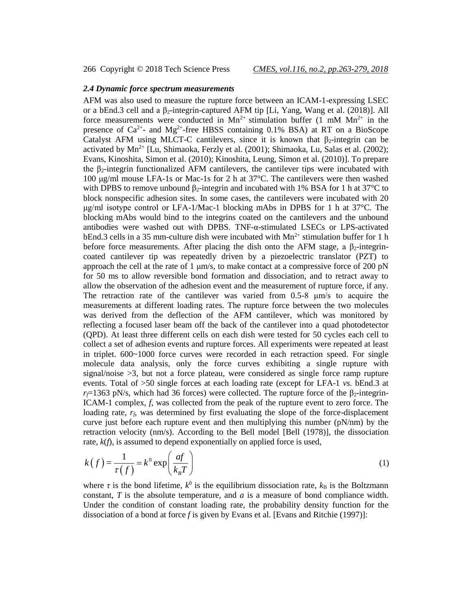266 Copyright © 2018 Tech Science Press *CMES, vol.116, no.2, pp.263-279, 2018*

# *2.4 Dynamic force spectrum measurements*

AFM was also used to measure the rupture force between an ICAM-1-expressing LSEC or a bEnd.3 cell and a  $\beta_2$ -integrin-captured AFM tip [Li, Yang, Wang et al. (2018)]. All force measurements were conducted in Mn<sup>2+</sup> stimulation buffer (1 mM Mn<sup>2+</sup> in the presence of  $Ca^{2+}$ - and Mg<sup>2+</sup>-free HBSS containing 0.1% BSA) at RT on a BioScope Catalyst AFM using MLCT-C cantilevers, since it is known that  $\beta_2$ -integrin can be activated by  $Mn^{2+}$  [Lu, Shimaoka, Ferzly et al. (2001); Shimaoka, Lu, Salas et al. (2002); Evans, Kinoshita, Simon et al. (2010); Kinoshita, Leung, Simon et al. (2010)]. To prepare the  $\beta_2$ -integrin functionalized AFM cantilevers, the cantilever tips were incubated with 100 μg/ml mouse LFA-1s or Mac-1s for 2 h at 37°C. The cantilevers were then washed with DPBS to remove unbound  $\beta_2$ -integrin and incubated with 1% BSA for 1 h at 37°C to block nonspecific adhesion sites. In some cases, the cantilevers were incubated with 20 μg/ml isotype control or LFA-1/Mac-1 blocking mAbs in DPBS for 1 h at 37°C. The blocking mAbs would bind to the integrins coated on the cantilevers and the unbound antibodies were washed out with DPBS. TNF-α-stimulated LSECs or LPS-activated bEnd.3 cells in a 35 mm-culture dish were incubated with  $Mn^{2+}$  stimulation buffer for 1 h before force measurements. After placing the dish onto the AFM stage, a  $\beta_2$ -integrincoated cantilever tip was repeatedly driven by a piezoelectric translator (PZT) to approach the cell at the rate of 1  $\mu$ m/s, to make contact at a compressive force of 200 pN for 50 ms to allow reversible bond formation and dissociation, and to retract away to allow the observation of the adhesion event and the measurement of rupture force, if any. The retraction rate of the cantilever was varied from 0.5-8 μm/s to acquire the measurements at different loading rates. The rupture force between the two molecules was derived from the deflection of the AFM cantilever, which was monitored by reflecting a focused laser beam off the back of the cantilever into a quad photodetector (QPD). At least three different cells on each dish were tested for 50 cycles each cell to collect a set of adhesion events and rupture forces. All experiments were repeated at least in triplet. 600~1000 force curves were recorded in each retraction speed. For single molecule data analysis, only the force curves exhibiting a single rupture with signal/noise >3, but not a force plateau, were considered as single force ramp rupture events. Total of >50 single forces at each loading rate (except for LFA-1 *vs.* bEnd.3 at  $r_f$ =1363 pN/s, which had 36 forces) were collected. The rupture force of the  $\beta_2$ -integrin-ICAM-1 complex, *f*, was collected from the peak of the rupture event to zero force. The loading rate,  $r_f$ , was determined by first evaluating the slope of the force-displacement curve just before each rupture event and then multiplying this number  $(pN/nm)$  by the retraction velocity (nm/s). According to the Bell model [Bell (1978)], the dissociation rate,  $k(f)$ , is assumed to depend exponentially on applied force is used,

$$
k(f) = \frac{1}{\tau(f)} = k^0 \exp\left(\frac{af}{k_B T}\right)
$$
 (1)

where  $\tau$  is the bond lifetime,  $k^0$  is the equilibrium dissociation rate,  $k_B$  is the Boltzmann constant, *T* is the absolute temperature, and *a* is a measure of bond compliance width. Under the condition of constant loading rate, the probability density function for the dissociation of a bond at force *f* is given by Evans et al. [Evans and Ritchie (1997)]: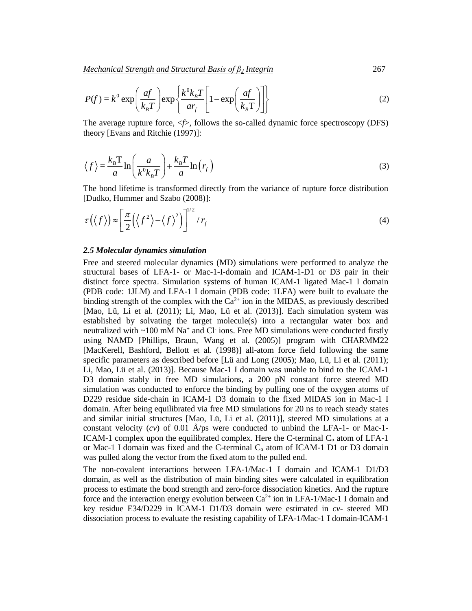Mechanical Strength and Structural Basis of 
$$
\beta_2
$$
 Integral 267  

$$
P(f) = k^0 \exp\left(\frac{af}{k_B T}\right) \exp\left\{\frac{k^0 k_B T}{ar_f} \left[1 - \exp\left(\frac{af}{k_B T}\right)\right]\right\}
$$
(2)

The average rupture force,  $\langle f \rangle$ , follows the so-called dynamic force spectroscopy (DFS) theory [Evans and Ritchie (1997)]:

$$
\langle f \rangle = \frac{k_B T}{a} \ln \left( \frac{a}{k^0 k_B T} \right) + \frac{k_B T}{a} \ln \left( r_f \right)
$$
 (3)

The bond lifetime is transformed directly from the variance of rupture force distribution [Dudko, Hummer and Szabo (2008)]:

$$
\tau(\langle f \rangle) \approx \left[ \frac{\pi}{2} (\langle f^2 \rangle - \langle f \rangle^2) \right]^{1/2} / r_f
$$
 (4)

#### *2.5 Molecular dynamics simulation*

Free and steered molecular dynamics (MD) simulations were performed to analyze the structural bases of LFA-1- or Mac-1-I-domain and ICAM-1-D1 or D3 pair in their distinct force spectra. Simulation systems of human ICAM-1 ligated Mac-1 I domain (PDB code: 1JLM) and LFA-1 I domain (PDB code: 1LFA) were built to evaluate the binding strength of the complex with the  $Ca^{2+}$  ion in the MIDAS, as previously described [Mao, Lü, Li et al. (2011); Li, Mao, Lü et al. (2013)]. Each simulation system was established by solvating the target molecule(s) into a rectangular water box and neutralized with  $\sim 100$  mM Na<sup>+</sup> and Cl<sup>-</sup> ions. Free MD simulations were conducted firstly using NAMD [Phillips, Braun, Wang et al. (2005)] program with CHARMM22 [MacKerell, Bashford, Bellott et al. (1998)] all-atom force field following the same specific parameters as described before [Lü and Long (2005); Mao, Lü, Li et al. (2011); Li, Mao, Lüet al. (2013)]. Because Mac-1 I domain was unable to bind to the ICAM-1 D3 domain stably in free MD simulations, a 200 pN constant force steered MD simulation was conducted to enforce the binding by pulling one of the oxygen atoms of D229 residue side-chain in ICAM-1 D3 domain to the fixed MIDAS ion in Mac-1 I domain. After being equilibrated via free MD simulations for 20 ns to reach steady states and similar initial structures [Mao, Lü, Li et al. (2011)], steered MD simulations at a constant velocity  $(cv)$  of 0.01 Å/ps were conducted to unbind the LFA-1- or Mac-1-ICAM-1 complex upon the equilibrated complex. Here the C-terminal  $C_{\alpha}$  atom of LFA-1 or Mac-1 I domain was fixed and the C-terminal  $C_{\alpha}$  atom of ICAM-1 D1 or D3 domain was pulled along the vector from the fixed atom to the pulled end.

The non-covalent interactions between LFA-1/Mac-1 I domain and ICAM-1 D1/D3 domain, as well as the distribution of main binding sites were calculated in equilibration process to estimate the bond strength and zero-force dissociation kinetics. And the rupture force and the interaction energy evolution between  $Ca^{2+}$  ion in LFA-1/Mac-1 I domain and key residue E34/D229 in ICAM-1 D1/D3 domain were estimated in *cv*- steered MD dissociation process to evaluate the resisting capability of LFA-1/Mac-1 I domain-ICAM-1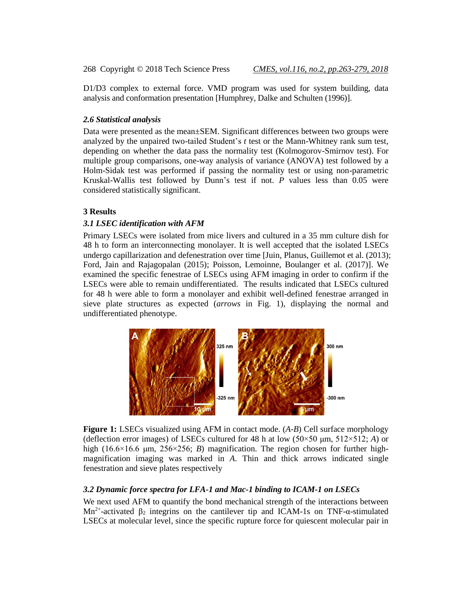D1/D3 complex to external force. VMD program was used for system building, data analysis and conformation presentation [Humphrey, Dalke and Schulten (1996)].

#### *2.6 Statistical analysis*

Data were presented as the mean±SEM. Significant differences between two groups were analyzed by the unpaired two-tailed Student's *t* test or the Mann-Whitney rank sum test, depending on whether the data pass the normality test (Kolmogorov-Smirnov test). For multiple group comparisons, one-way analysis of variance (ANOVA) test followed by a Holm-Sidak test was performed if passing the normality test or using non-parametric Kruskal-Wallis test followed by Dunn's test if not. *P* values less than 0.05 were considered statistically significant.

#### **3 Results**

#### *3.1 LSEC identification with AFM*

Primary LSECs were isolated from mice livers and cultured in a 35 mm culture dish for 48 h to form an interconnecting monolayer. It is well accepted that the isolated LSECs undergo capillarization and defenestration over time [Juin, Planus, Guillemot et al. (2013); Ford, Jain and Rajagopalan (2015); Poisson, Lemoinne, Boulanger et al. (2017)]. We examined the specific fenestrae of LSECs using AFM imaging in order to confirm if the LSECs were able to remain undifferentiated. The results indicated that LSECs cultured for 48 h were able to form a monolayer and exhibit well-defined fenestrae arranged in sieve plate structures as expected (*arrows* in Fig. 1), displaying the normal and undifferentiated phenotype.



**Figure 1:** LSECs visualized using AFM in contact mode. (*A*-*B*) Cell surface morphology (deflection error images) of LSECs cultured for 48 h at low  $(50 \times 50 \mu m, 512 \times 512; A)$  or high (16.6×16.6 μm, 256×256; *B*) magnification. The region chosen for further highmagnification imaging was marked in *A*. Thin and thick arrows indicated single fenestration and sieve plates respectively

# *3.2 Dynamic force spectra for LFA-1 and Mac-1 binding to ICAM-1 on LSECs*

We next used AFM to quantify the bond mechanical strength of the interactions between Mn<sup>2+</sup>-activated  $\beta_2$  integrins on the cantilever tip and ICAM-1s on TNF- $\alpha$ -stimulated LSECs at molecular level, since the specific rupture force for quiescent molecular pair in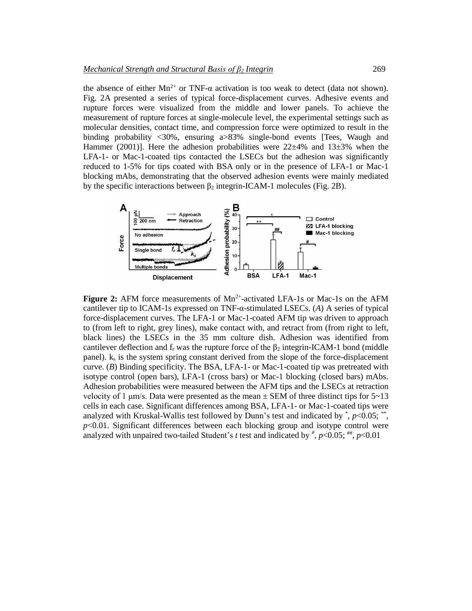the absence of either  $Mn^{2+}$  or TNF- $\alpha$  activation is too weak to detect (data not shown). Fig. 2A presented a series of typical force-displacement curves. Adhesive events and rupture forces were visualized from the middle and lower panels. To achieve the measurement of rupture forces at single-molecule level, the experimental settings such as molecular densities, contact time, and compression force were optimized to result in the binding probability <30%, ensuring a>83% single-bond events [Tees, Waugh and Hammer (2001)]. Here the adhesion probabilities were  $22\pm 4\%$  and  $13\pm 3\%$  when the LFA-1- or Mac-1-coated tips contacted the LSECs but the adhesion was significantly reduced to 1-5% for tips coated with BSA only or in the presence of LFA-1 or Mac-1 blocking mAbs, demonstrating that the observed adhesion events were mainly mediated by the specific interactions between  $\beta_2$  integrin-ICAM-1 molecules (Fig. 2B).



Figure 2: AFM force measurements of Mn<sup>2+</sup>-activated LFA-1s or Mac-1s on the AFM cantilever tip to ICAM-1s expressed on TNF-α-stimulated LSECs. (*A*) A series of typical force-displacement curves. The LFA-1 or Mac-1-coated AFM tip was driven to approach to (from left to right, grey lines), make contact with, and retract from (from right to left, black lines) the LSECs in the 35 mm culture dish. Adhesion was identified from cantilever deflection and  $f_r$  was the rupture force of the  $\beta_2$  integrin-ICAM-1 bond (middle panel).  $k<sub>s</sub>$  is the system spring constant derived from the slope of the force-displacement curve. (*B*) Binding specificity. The BSA, LFA-1- or Mac-1-coated tip was pretreated with isotype control (open bars), LFA-1 (cross bars) or Mac-1 blocking (closed bars) mAbs. Adhesion probabilities were measured between the AFM tips and the LSECs at retraction velocity of 1  $\mu$ m/s. Data were presented as the mean  $\pm$  SEM of three distinct tips for 5~13 cells in each case. Significant differences among BSA, LFA-1- or Mac-1-coated tips were analyzed with Kruskal-Wallis test followed by Dunn's test and indicated by  $\hat{p}$ ,  $p$ <0.05;  $\hat{p}$ , *p*<0.01. Significant differences between each blocking group and isotype control were analyzed with unpaired two-tailed Student's *t* test and indicated by  $\frac{d}{dx}$ ,  $p<0.05$ ;  $\frac{d}{dx}$ ,  $p<0.01$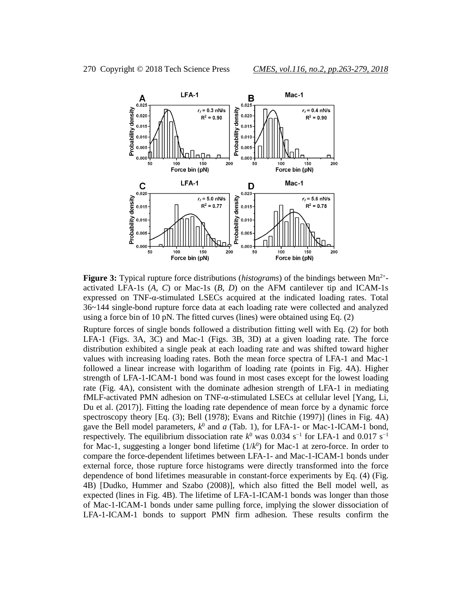

Figure 3: Typical rupture force distributions (*histograms*) of the bindings between Mn<sup>2+</sup>activated LFA-1s (*A*, *C*) or Mac-1s (*B*, *D*) on the AFM cantilever tip and ICAM-1s expressed on TNF-α-stimulated LSECs acquired at the indicated loading rates. Total 36~144 single-bond rupture force data at each loading rate were collected and analyzed using a force bin of 10 pN. The fitted curves (lines) were obtained using Eq. (2)

Rupture forces of single bonds followed a distribution fitting well with Eq. (2) for both LFA-1 (Figs. 3A, 3C) and Mac-1 (Figs. 3B, 3D) at a given loading rate. The force distribution exhibited a single peak at each loading rate and was shifted toward higher values with increasing loading rates. Both the mean force spectra of LFA-1 and Mac-1 followed a linear increase with logarithm of loading rate (points in Fig. 4A). Higher strength of LFA-1-ICAM-1 bond was found in most cases except for the lowest loading rate (Fig. 4A), consistent with the dominate adhesion strength of LFA-1 in mediating fMLF-activated PMN adhesion on TNF- $\alpha$ -stimulated LSECs at cellular level [Yang, Li, Du et al. (2017)]. Fitting the loading rate dependence of mean force by a dynamic force spectroscopy theory [Eq. (3); Bell (1978); Evans and Ritchie (1997)] (lines in Fig. 4A) gave the Bell model parameters,  $k^0$  and  $a$  (Tab. 1), for LFA-1- or Mac-1-ICAM-1 bond, respectively. The equilibrium dissociation rate  $k^0$  was 0.034 s<sup>-1</sup> for LFA-1 and 0.017 s<sup>-1</sup> for Mac-1, suggesting a longer bond lifetime  $(1/k<sup>0</sup>)$  for Mac-1 at zero-force. In order to compare the force-dependent lifetimes between LFA-1- and Mac-1-ICAM-1 bonds under external force, those rupture force histograms were directly transformed into the force dependence of bond lifetimes measurable in constant-force experiments by Eq. (4) (Fig. 4B) [Dudko, Hummer and Szabo (2008)], which also fitted the Bell model well, as expected (lines in Fig. 4B). The lifetime of LFA-1-ICAM-1 bonds was longer than those of Mac-1-ICAM-1 bonds under same pulling force, implying the slower dissociation of LFA-1-ICAM-1 bonds to support PMN firm adhesion. These results confirm the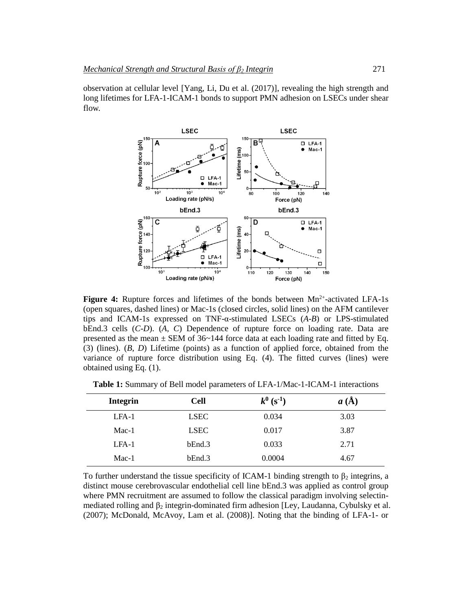observation at cellular level [Yang, Li, Du et al. (2017)], revealing the high strength and long lifetimes for LFA-1-ICAM-1 bonds to support PMN adhesion on LSECs under shear flow.



Figure 4: Rupture forces and lifetimes of the bonds between Mn<sup>2+</sup>-activated LFA-1s (open squares, dashed lines) or Mac-1s (closed circles, solid lines) on the AFM cantilever tips and ICAM-1s expressed on TNF-α-stimulated LSECs (*A*-*B*) or LPS-stimulated bEnd.3 cells (*C*-*D*). (*A, C*) Dependence of rupture force on loading rate. Data are presented as the mean  $\pm$  SEM of 36~144 force data at each loading rate and fitted by Eq. (3) (lines). (*B, D*) Lifetime (points) as a function of applied force, obtained from the variance of rupture force distribution using Eq. (4). The fitted curves (lines) were obtained using Eq. (1).

| <b>Integrin</b> | <b>Cell</b> | $k^0$ (s <sup>-1</sup> ) | a(A) |  |
|-----------------|-------------|--------------------------|------|--|
| $LFA-1$         | <b>LSEC</b> | 0.034                    | 3.03 |  |
| $Mac-1$         | <b>LSEC</b> | 0.017                    | 3.87 |  |
| $LFA-1$         | bEnd.3      | 0.033                    | 2.71 |  |
| $Mac-1$         | bEnd.3      | 0.0004                   | 4.67 |  |

**Table 1:** Summary of Bell model parameters of LFA-1/Mac-1-ICAM-1 interactions

To further understand the tissue specificity of ICAM-1 binding strength to  $\beta_2$  integrins, a distinct mouse cerebrovascular endothelial cell line bEnd.3 was applied as control group where PMN recruitment are assumed to follow the classical paradigm involving selectinmediated rolling and  $\beta_2$  integrin-dominated firm adhesion [Ley, Laudanna, Cybulsky et al. (2007); McDonald, McAvoy, Lam et al. (2008)]. Noting that the binding of LFA-1- or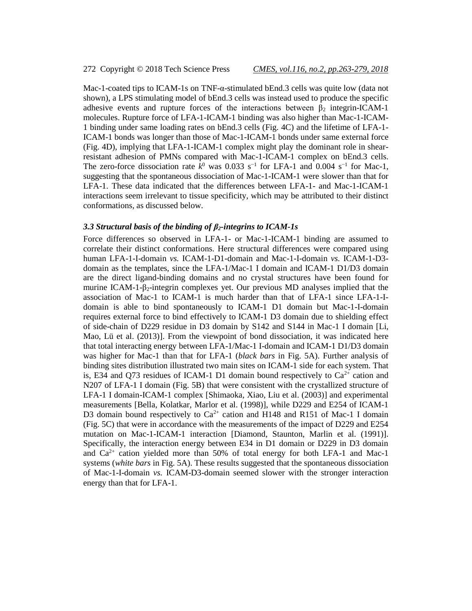Mac-1-coated tips to ICAM-1s on TNF- $\alpha$ -stimulated bEnd.3 cells was quite low (data not shown), a LPS stimulating model of bEnd.3 cells was instead used to produce the specific adhesive events and rupture forces of the interactions between  $\beta_2$  integrin-ICAM-1 molecules. Rupture force of LFA-1-ICAM-1 binding was also higher than Mac-1-ICAM-1 binding under same loading rates on bEnd.3 cells (Fig. 4C) and the lifetime of LFA-1- ICAM-1 bonds was longer than those of Mac-1-ICAM-1 bonds under same external force (Fig. 4D), implying that LFA-1-ICAM-1 complex might play the dominant role in shearresistant adhesion of PMNs compared with Mac-1-ICAM-1 complex on bEnd.3 cells. The zero-force dissociation rate  $k^0$  was 0.033 s<sup>-1</sup> for LFA-1 and 0.004 s<sup>-1</sup> for Mac-1, suggesting that the spontaneous dissociation of Mac-1-ICAM-1 were slower than that for LFA-1. These data indicated that the differences between LFA-1- and Mac-1-ICAM-1 interactions seem irrelevant to tissue specificity, which may be attributed to their distinct conformations, as discussed below.

#### *3.3 Structural basis of the binding of β2-integrins to ICAM-1s*

Force differences so observed in LFA-1- or Mac-1-ICAM-1 binding are assumed to correlate their distinct conformations. Here structural differences were compared using human LFA-1-I-domain *vs.* ICAM-1-D1-domain and Mac-1-I-domain *vs.* ICAM-1-D3 domain as the templates, since the LFA-1/Mac-1 I domain and ICAM-1 D1/D3 domain are the direct ligand-binding domains and no crystal structures have been found for murine ICAM-1-β2-integrin complexes yet. Our previous MD analyses implied that the association of Mac-1 to ICAM-1 is much harder than that of LFA-1 since LFA-1-Idomain is able to bind spontaneously to ICAM-1 D1 domain but Mac-1-I-domain requires external force to bind effectively to ICAM-1 D3 domain due to shielding effect of side-chain of D229 residue in D3 domain by S142 and S144 in Mac-1 I domain [Li, Mao, Lü et al. (2013)]. From the viewpoint of bond dissociation, it was indicated here that total interacting energy between LFA-1/Mac-1 I-domain and ICAM-1 D1/D3 domain was higher for Mac-1 than that for LFA-1 (*black bars* in Fig. 5A). Further analysis of binding sites distribution illustrated two main sites on ICAM-1 side for each system. That is, E34 and Q73 residues of ICAM-1 D1 domain bound respectively to  $Ca^{2+}$  cation and N207 of LFA-1 I domain (Fig. 5B) that were consistent with the crystallized structure of LFA-1 I domain-ICAM-1 complex [Shimaoka, Xiao, Liu et al. (2003)] and experimental measurements [Bella, Kolatkar, Marlor et al. (1998)], while D229 and E254 of ICAM-1 D3 domain bound respectively to  $Ca^{2+}$  cation and H148 and R151 of Mac-1 I domain (Fig. 5C) that were in accordance with the measurements of the impact of D229 and E254 mutation on Mac-1-ICAM-1 interaction [Diamond, Staunton, Marlin et al. (1991)]. Specifically, the interaction energy between E34 in D1 domain or D229 in D3 domain and  $Ca^{2+}$  cation yielded more than 50% of total energy for both LFA-1 and Mac-1 systems (*white bars* in Fig. 5A). These results suggested that the spontaneous dissociation of Mac-1-I-domain *vs.* ICAM-D3-domain seemed slower with the stronger interaction energy than that for LFA-1.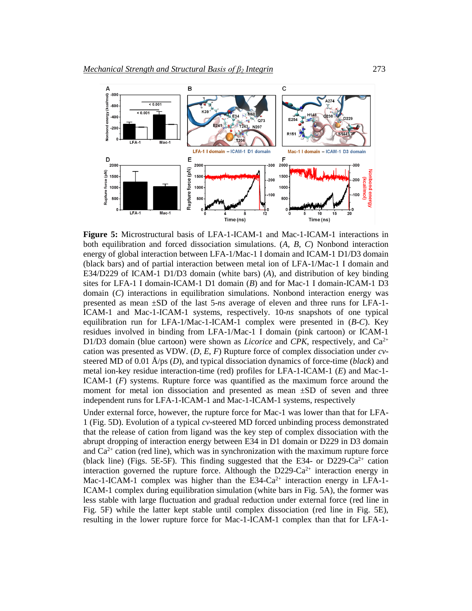

**Figure 5:** Microstructural basis of LFA-1-ICAM-1 and Mac-1-ICAM-1 interactions in both equilibration and forced dissociation simulations. (*A*, *B*, *C*) Nonbond interaction energy of global interaction between LFA-1/Mac-1 I domain and ICAM-1 D1/D3 domain (black bars) and of partial interaction between metal ion of LFA-1/Mac-1 I domain and E34/D229 of ICAM-1 D1/D3 domain (white bars) (*A*), and distribution of key binding sites for LFA-1 I domain-ICAM-1 D1 domain (*B*) and for Mac-1 I domain-ICAM-1 D3 domain (*C*) interactions in equilibration simulations. Nonbond interaction energy was presented as mean ±SD of the last 5-*ns* average of eleven and three runs for LFA-1- ICAM-1 and Mac-1-ICAM-1 systems, respectively. 10-*ns* snapshots of one typical equilibration run for LFA-1/Mac-1-ICAM-1 complex were presented in (*B*-*C*). Key residues involved in binding from LFA-1/Mac-1 I domain (pink cartoon) or ICAM-1 D1/D3 domain (blue cartoon) were shown as *Licorice* and *CPK*, respectively, and Ca<sup>2+</sup> cation was presented as VDW. (*D*, *E*, *F*) Rupture force of complex dissociation under *cv*steered MD of 0.01 Å/ps (*D*), and typical dissociation dynamics of force-time (*black*) and metal ion-key residue interaction-time (red) profiles for LFA-1-ICAM-1 (*E*) and Mac-1- ICAM-1 (*F*) systems. Rupture force was quantified as the maximum force around the moment for metal ion dissociation and presented as mean ±SD of seven and three independent runs for LFA-1-ICAM-1 and Mac-1-ICAM-1 systems, respectively

Under external force, however, the rupture force for Mac-1 was lower than that for LFA-1 (Fig. 5D). Evolution of a typical *cv*-steered MD forced unbinding process demonstrated that the release of cation from ligand was the key step of complex dissociation with the abrupt dropping of interaction energy between E34 in D1 domain or D229 in D3 domain and  $Ca<sup>2+</sup>$  cation (red line), which was in synchronization with the maximum rupture force (black line) (Figs. 5E-5F). This finding suggested that the E34- or D229-Ca<sup>2+</sup> cation interaction governed the rupture force. Although the  $D229-Ca^{2+}$  interaction energy in Mac-1-ICAM-1 complex was higher than the  $E34-Ca^{2+}$  interaction energy in LFA-1-ICAM-1 complex during equilibration simulation (white bars in Fig. 5A), the former was less stable with large fluctuation and gradual reduction under external force (red line in Fig. 5F) while the latter kept stable until complex dissociation (red line in Fig. 5E), resulting in the lower rupture force for Mac-1-ICAM-1 complex than that for LFA-1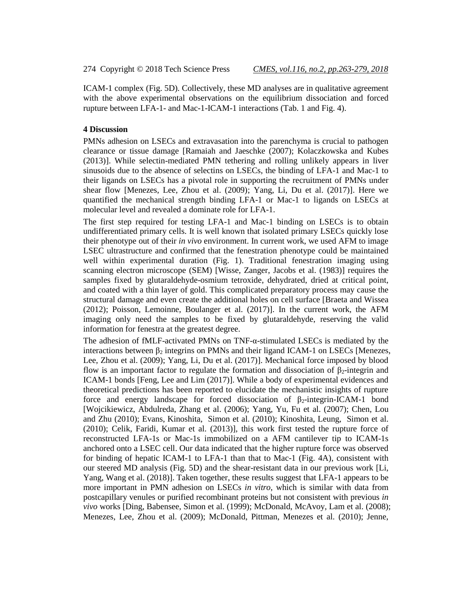ICAM-1 complex (Fig. 5D). Collectively, these MD analyses are in qualitative agreement with the above experimental observations on the equilibrium dissociation and forced rupture between LFA-1- and Mac-1-ICAM-1 interactions (Tab. 1 and Fig. 4).

#### **4 Discussion**

PMNs adhesion on LSECs and extravasation into the parenchyma is crucial to pathogen clearance or tissue damage [Ramaiah and Jaeschke (2007); Kolaczkowska and Kubes (2013)]. While selectin-mediated PMN tethering and rolling unlikely appears in liver sinusoids due to the absence of selectins on LSECs, the binding of LFA-1 and Mac-1 to their ligands on LSECs has a pivotal role in supporting the recruitment of PMNs under shear flow [Menezes, Lee, Zhou et al. (2009); Yang, Li, Du et al. (2017)]. Here we quantified the mechanical strength binding LFA-1 or Mac-1 to ligands on LSECs at molecular level and revealed a dominate role for LFA-1.

The first step required for testing LFA-1 and Mac-1 binding on LSECs is to obtain undifferentiated primary cells. It is well known that isolated primary LSECs quickly lose their phenotype out of their *in vivo* environment. In current work, we used AFM to image LSEC ultrastructure and confirmed that the fenestration phenotype could be maintained well within experimental duration (Fig. 1). Traditional fenestration imaging using scanning electron microscope (SEM) [Wisse, Zanger, Jacobs et al. (1983)] requires the samples fixed by glutaraldehyde-osmium tetroxide, dehydrated, dried at critical point, and coated with a thin layer of gold. This complicated preparatory process may cause the structural damage and even create the additional holes on cell surface [Braeta and Wissea (2012); Poisson, Lemoinne, Boulanger et al. (2017)]. In the current work, the AFM imaging only need the samples to be fixed by glutaraldehyde, reserving the valid information for fenestra at the greatest degree.

The adhesion of fMLF-activated PMNs on TNF-α-stimulated LSECs is mediated by the interactions between  $\beta_2$  integrins on PMNs and their ligand ICAM-1 on LSECs [Menezes, Lee, Zhou et al. (2009); Yang, Li, Du et al. (2017)]. Mechanical force imposed by blood flow is an important factor to regulate the formation and dissociation of  $\beta_2$ -integrin and ICAM-1 bonds [Feng, Lee and Lim (2017)]. While a body of experimental evidences and theoretical predictions has been reported to elucidate the mechanistic insights of rupture force and energy landscape for forced dissociation of  $\beta_2$ -integrin-ICAM-1 bond [Wojcikiewicz, Abdulreda, Zhang et al. (2006); Yang, Yu, Fu et al. (2007); Chen, Lou and Zhu (2010); Evans, Kinoshita, Simon et al. (2010); Kinoshita, Leung, Simon et al. (2010); Celik, Faridi, Kumar et al. (2013)], this work first tested the rupture force of reconstructed LFA-1s or Mac-1s immobilized on a AFM cantilever tip to ICAM-1s anchored onto a LSEC cell. Our data indicated that the higher rupture force was observed for binding of hepatic ICAM-1 to LFA-1 than that to Mac-1 (Fig. 4A), consistent with our steered MD analysis (Fig. 5D) and the shear-resistant data in our previous work [Li, Yang, Wang et al. (2018)]. Taken together, these results suggest that LFA-1 appears to be more important in PMN adhesion on LSECs *in vitro*, which is similar with data from postcapillary venules or purified recombinant proteins but not consistent with previous *in vivo* works [Ding, Babensee, Simon et al. (1999); McDonald, McAvoy, Lam et al. (2008); Menezes, Lee, Zhou et al. (2009); McDonald, Pittman, Menezes et al. (2010); Jenne,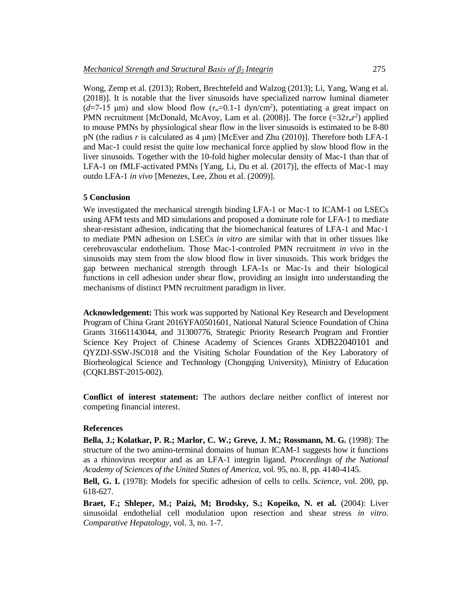Wong, Zemp et al. (2013); Robert, Brechtefeld and Walzog (2013); Li, Yang, Wang et al. (2018)]. It is notable that the liver sinusoids have specialized narrow luminal diameter ( $d=7$ -15 μm) and slow blood flow ( $\tau_w=0.1$ -1 dyn/cm<sup>2</sup>), potentiating a great impact on PMN recruitment [McDonald, McAvoy, Lam et al.  $(2008)$ ]. The force  $(=32\tau_w r^2)$  applied to mouse PMNs by physiological shear flow in the liver sinusoids is estimated to be 8-80 pN (the radius *r* is calculated as 4 μm) [McEver and Zhu (2010)]. Therefore both LFA-1 and Mac-1 could resist the quite low mechanical force applied by slow blood flow in the liver sinusoids. Together with the 10-fold higher molecular density of Mac-1 than that of LFA-1 on fMLF-activated PMNs [Yang, Li, Du et al. (2017)], the effects of Mac-1 may outdo LFA-1 *in vivo* [Menezes, Lee, Zhou et al. (2009)].

#### **5 Conclusion**

We investigated the mechanical strength binding LFA-1 or Mac-1 to ICAM-1 on LSECs using AFM tests and MD simulations and proposed a dominate role for LFA-1 to mediate shear-resistant adhesion, indicating that the biomechanical features of LFA-1 and Mac-1 to mediate PMN adhesion on LSECs *in vitro* are similar with that in other tissues like cerebrovascular endothelium. Those Mac-1-controled PMN recruitment *in vivo* in the sinusoids may stem from the slow blood flow in liver sinusoids. This work bridges the gap between mechanical strength through LFA-1s or Mac-1s and their biological functions in cell adhesion under shear flow, providing an insight into understanding the mechanisms of distinct PMN recruitment paradigm in liver.

**Acknowledgement:** This work was supported by National Key Research and Development Program of China Grant 2016YFA0501601, National Natural Science Foundation of China Grants 31661143044, and 31300776, Strategic Priority Research Program and Frontier Science Key Project of Chinese Academy of Sciences Grants XDB22040101 and QYZDJ-SSW-JSC018 and the Visiting Scholar Foundation of the Key Laboratory of Biorheological Science and Technology (Chongqing University), Ministry of Education (CQKLBST-2015-002).

**Conflict of interest statement:** The authors declare neither conflict of interest nor competing financial interest.

#### **References**

**Bella, J.; Kolatkar, P. R.; Marlor, C. W.; Greve, J. M.; Rossmann, M. G.** (1998): The structure of the two amino-terminal domains of human ICAM-1 suggests how it functions as a rhinovirus receptor and as an LFA-1 integrin ligand. *Proceedings of the National Academy of Sciences of the United States of America*, vol. 95, no. 8, pp. 4140-4145.

**Bell, G. I.** (1978): Models for specific adhesion of cells to cells. *Science*, vol. 200, pp. 618-627.

**Braet, F.; Shleper, M.; Paizi, M; Brodsky, S.; Kopeiko, N. et al.** (2004): Liver sinusoidal endothelial cell modulation upon resection and shear stress *in vitro*. *Comparative Hepatology*, vol. 3, no. 1-7.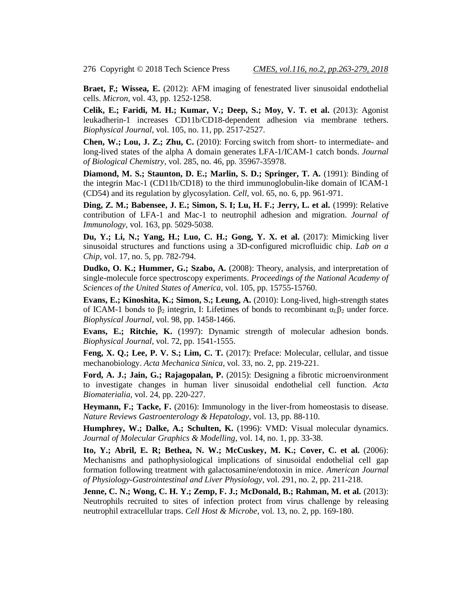**Braet,** F.**; Wissea, E.** (2012): AFM imaging of fenestrated liver sinusoidal endothelial cells. *Micron*, vol. 43, pp. 1252-1258.

**Celik, E.; Faridi, M. H.; Kumar, V.; Deep, S.; Moy, V. T. et al.** (2013): Agonist leukadherin-1 increases CD11b/CD18-dependent adhesion via membrane tethers. *Biophysical Journal*, vol. 105, no. 11, pp. 2517-2527.

**Chen, W.; Lou, J. Z.; Zhu, C.** (2010): Forcing switch from short- to intermediate- and long-lived states of the alpha A domain generates LFA-1/ICAM-1 catch bonds. *Journal of Biological Chemistry*, vol. 285, no. 46, pp. 35967-35978.

**Diamond, M. S.; Staunton, D. E.; Marlin, S. D.; Springer, T. A.** (1991): Binding of the integrin Mac-1 (CD11b/CD18) to the third immunoglobulin-like domain of ICAM-1 (CD54) and its regulation by glycosylation. *Cell*, vol. 65, no. 6, pp. 961-971.

**Ding, Z. M.; Babensee, J. E.; Simon, S. I; Lu, H. F.; Jerry, L. et al.** (1999): Relative contribution of LFA-1 and Mac-1 to neutrophil adhesion and migration. *Journal of Immunology*, vol. 163, pp. 5029-5038.

**Du, Y.; Li, N.; Yang, H.; Luo, C. H.; Gong, Y. X. et al.** (2017): Mimicking liver sinusoidal structures and functions using a 3D-configured microfluidic chip. *Lab on a Chip*, vol. 17, no. 5, pp. 782-794.

**Dudko, O. K.; Hummer, G.; Szabo, A.** (2008): Theory, analysis, and interpretation of single-molecule force spectroscopy experiments. *Proceedings of the National Academy of Sciences of the United States of America*, vol. 105, pp. 15755-15760.

**Evans, E.; Kinoshita, K.; Simon, S.; Leung, A.** (2010): Long-lived, high-strength states of ICAM-1 bonds to  $\beta_2$  integrin, I: Lifetimes of bonds to recombinant  $\alpha_L \beta_2$  under force. *Biophysical Journal*, vol. 98, pp. 1458-1466.

**Evans, E.; Ritchie, K.** (1997): Dynamic strength of molecular adhesion bonds. *Biophysical Journal*, vol. 72, pp. 1541-1555.

**Feng, X. Q.; Lee, P. V. S.; Lim, C. T.** (2017): Preface: Molecular, cellular, and tissue mechanobiology. *Acta Mechanica Sinica*, vol. 33, no. 2, pp. 219-221.

**Ford, A. J.; Jain, G.; Rajagopalan, P.** (2015): Designing a fibrotic microenvironment to investigate changes in human liver sinusoidal endothelial cell function. *Acta Biomaterialia*, vol. 24, pp. 220-227.

**Heymann, F.; Tacke, F.** (2016): Immunology in the liver-from homeostasis to disease. *Nature Reviews Gastroenterology & Hepatology*, vol. 13, pp. 88-110.

**Humphrey, W.; Dalke, A.; Schulten, K.** (1996): VMD: Visual molecular dynamics. *Journal of Molecular Graphics & Modelling*, vol. 14, no. 1, pp. 33-38.

**Ito, Y.; Abril, E. R; Bethea, N. W.; McCuskey, M. K.; Cover, C. et al.** (2006): Mechanisms and pathophysiological implications of sinusoidal endothelial cell gap formation following treatment with galactosamine/endotoxin in mice. *American Journal of Physiology-Gastrointestinal and Liver Physiology*, vol. 291, no. 2, pp. 211-218.

**Jenne, C. N.; Wong, C. H. Y.; Zemp, F. J.; McDonald, B.; Rahman, M. et al.** (2013): Neutrophils recruited to sites of infection protect from virus challenge by releasing neutrophil extracellular traps. *Cell Host & Microbe*, vol. 13, no. 2, pp. 169-180.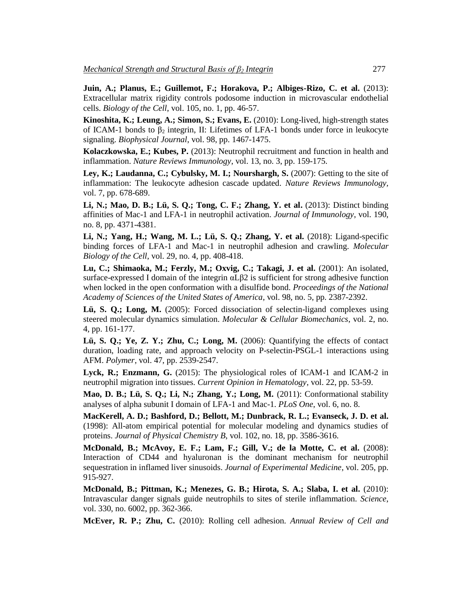**Juin, A.; Planus, E.; Guillemot, F.; Horakova, P.; Albiges-Rizo, C. et al.** (2013): Extracellular matrix rigidity controls podosome induction in microvascular endothelial cells. *Biology of the Cell*, vol. 105, no. 1, pp. 46-57.

**Kinoshita, K.; Leung, A.; Simon, S.; Evans, E.** (2010): Long-lived, high-strength states of ICAM-1 bonds to  $\beta_2$  integrin, II: Lifetimes of LFA-1 bonds under force in leukocyte signaling. *Biophysical Journal*, vol. 98, pp. 1467-1475.

**Kolaczkowska, E.; Kubes, P.** (2013): Neutrophil recruitment and function in health and inflammation. *Nature Reviews Immunology*, vol. 13, no. 3, pp. 159-175.

**Ley, K.; Laudanna, C.; Cybulsky, M. I.; Nourshargh, S.** (2007): Getting to the site of inflammation: The leukocyte adhesion cascade updated. *Nature Reviews Immunology,*  vol. 7, pp. 678-689.

**Li, N.; Mao, D. B.; Lü, S. Q.; Tong, C. F.; Zhang, Y. et al.** (2013): Distinct binding affinities of Mac-1 and LFA-1 in neutrophil activation. *Journal of Immunology*, vol. 190, no. 8, pp. 4371-4381.

**Li, N.; Yang, H.; Wang, M. L.; Lü, S. Q.; Zhang, Y. et al.** (2018): Ligand-specific binding forces of LFA-1 and Mac-1 in neutrophil adhesion and crawling. *Molecular Biology of the Cell*, vol. 29, no. 4, pp. 408-418.

**Lu, C.; Shimaoka, M.; Ferzly, M.; Oxvig, C.; Takagi, J. et al.** (2001): An isolated, surface-expressed I domain of the integrin αLβ2 is sufficient for strong adhesive function when locked in the open conformation with a disulfide bond. *Proceedings of the National Academy of Sciences of the United States of America*, vol. 98, no. 5, pp. 2387-2392.

**Lü, S. Q.; Long, M.** (2005): Forced dissociation of selectin-ligand complexes using steered molecular dynamics simulation. *Molecular & Cellular Biomechanics*, vol. 2, no. 4, pp. 161-177.

**Lü, S. Q.; Ye, Z. Y.; Zhu, C.; Long, M.** (2006): Quantifying the effects of contact duration, loading rate, and approach velocity on P-selectin-PSGL-1 interactions using AFM. *Polymer*, vol. 47, pp. 2539-2547.

**Lyck, R.; Enzmann, G.** (2015): The physiological roles of ICAM-1 and ICAM-2 in neutrophil migration into tissues. *Current Opinion in Hematology*, vol. 22, pp. 53-59.

**Mao, D. B.; Lü, S. Q.; Li, N.; Zhang, Y.; Long, M.** (2011): Conformational stability analyses of alpha subunit I domain of LFA-1 and Mac-1. *PLoS One*, vol. 6, no. 8.

**MacKerell, A. D.; Bashford, D.; Bellott, M.; Dunbrack, R. L.; Evanseck, J. D. et al.** (1998): All-atom empirical potential for molecular modeling and dynamics studies of proteins. *Journal of Physical Chemistry B*, vol. 102, no. 18, pp. 3586-3616.

**McDonald, B.; McAvoy, E. F.; Lam, F.; Gill, V.; de la Motte, C. et al.** (2008): Interaction of CD44 and hyaluronan is the dominant mechanism for neutrophil sequestration in inflamed liver sinusoids. *Journal of Experimental Medicine*, vol. 205, pp. 915-927.

**McDonald, B.; Pittman, K.; Menezes, G. B.; Hirota, S. A.; Slaba, I. et al.** (2010): Intravascular danger signals guide neutrophils to sites of sterile inflammation. *Science*, vol. 330, no. 6002, pp. 362-366.

**McEver, R. P.; Zhu, C.** (2010): Rolling cell adhesion. *Annual Review of Cell and*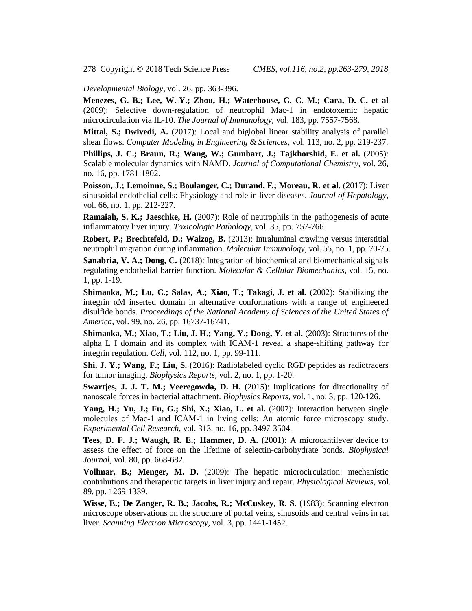*Developmental Biology*, vol. 26, pp. 363-396.

**Menezes, G. B.; Lee, W.-Y.; Zhou, H.; Waterhouse, C. C. M.; Cara, D. C. et al** (2009): Selective down-regulation of neutrophil Mac-1 in endotoxemic hepatic microcirculation via IL-10. *The Journal of Immunology*, vol. 183, pp. 7557-7568.

**Mittal, S.; Dwivedi, A.** (2017): Local and biglobal linear stability analysis of parallel shear flows. *Computer Modeling in Engineering & Sciences*, vol. 113, no. 2, pp. 219-237.

**Phillips, J. C.; Braun, R.; Wang, W.; Gumbart, J.; Tajkhorshid, E. et al.** (2005): Scalable molecular dynamics with NAMD. *Journal of Computational Chemistry*, vol. 26, no. 16, pp. 1781-1802.

**Poisson, J.; Lemoinne, S.; Boulanger, C.; Durand, F.; Moreau, R. et al.** (2017): Liver sinusoidal endothelial cells: Physiology and role in liver diseases. *Journal of Hepatology*, vol. 66, no. 1, pp. 212-227.

**Ramaiah, S. K.; Jaeschke, H.** (2007): Role of neutrophils in the pathogenesis of acute inflammatory liver injury. *Toxicologic Pathology*, vol. 35, pp. 757-766.

**Robert, P.; Brechtefeld, D.; Walzog, B.** (2013): Intraluminal crawling versus interstitial neutrophil migration during inflammation. *Molecular Immunology*, vol. 55, no. 1, pp. 70-75.

**Sanabria, V. A.; Dong, C.** (2018): Integration of biochemical and biomechanical signals regulating endothelial barrier function. *Molecular & Cellular Biomechanics*, vol. 15, no. 1, pp. 1-19.

**Shimaoka, M.; Lu, C.; Salas, A.; Xiao, T.; Takagi, J. et al.** (2002): Stabilizing the integrin αM inserted domain in alternative conformations with a range of engineered disulfide bonds. *Proceedings of the National Academy of Sciences of the United States of America*, vol. 99, no. 26, pp. 16737-16741.

**Shimaoka, M.; Xiao, T.; Liu, J. H.; Yang, Y.; Dong, Y. et al.** (2003): Structures of the alpha L I domain and its complex with ICAM-1 reveal a shape-shifting pathway for integrin regulation. *Cell*, vol. 112, no. 1, pp. 99-111.

**Shi, J. Y.; Wang, F.; Liu, S.** (2016): Radiolabeled cyclic RGD peptides as radiotracers for tumor imaging. *Biophysics Reports*, vol. 2, no. 1, pp. 1-20.

**Swartjes, J. J. T. M.; Veeregowda, D. H.** (2015): Implications for directionality of nanoscale forces in bacterial attachment. *Biophysics Reports*, vol. 1, no. 3, pp. 120-126.

Yang, H.; Yu, J.; Fu, G.; Shi, X.; Xiao, L. et al. (2007): Interaction between single molecules of Mac-1 and ICAM-1 in living cells: An atomic force microscopy study. *Experimental Cell Research*, vol. 313, no. 16, pp. 3497-3504.

**Tees, D. F. J.; Waugh, R. E.; Hammer, D. A.** (2001): A microcantilever device to assess the effect of force on the lifetime of selectin-carbohydrate bonds. *Biophysical Journal*, vol. 80, pp. 668-682.

**Vollmar, B.; Menger, M. D.** (2009): The hepatic microcirculation: mechanistic contributions and therapeutic targets in liver injury and repair. *Physiological Reviews*, vol. 89, pp. 1269-1339.

**Wisse, E.; De Zanger, R. B.; Jacobs, R.; McCuskey, R. S.** (1983): Scanning electron microscope observations on the structure of portal veins, sinusoids and central veins in rat liver. *Scanning Electron Microscopy*, vol. 3, pp. 1441-1452.